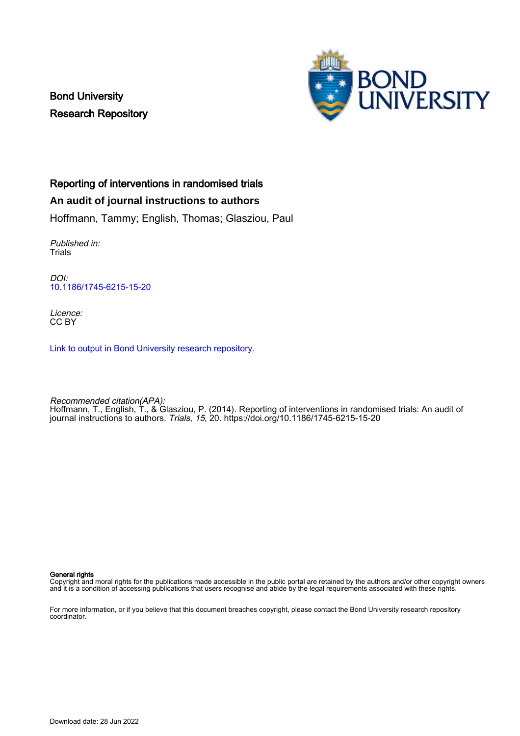Bond University Research Repository



# Reporting of interventions in randomised trials

# **An audit of journal instructions to authors**

Hoffmann, Tammy; English, Thomas; Glasziou, Paul

Published in: Trials

DOI: [10.1186/1745-6215-15-20](https://doi.org/10.1186/1745-6215-15-20)

Licence: CC BY

[Link to output in Bond University research repository.](https://research.bond.edu.au/en/publications/91afae37-7f53-4294-9980-4c4ce4f2c686)

Recommended citation(APA): Hoffmann, T., English, T., & Glasziou, P. (2014). Reporting of interventions in randomised trials: An audit of journal instructions to authors. Trials, 15, 20.<https://doi.org/10.1186/1745-6215-15-20>

General rights

Copyright and moral rights for the publications made accessible in the public portal are retained by the authors and/or other copyright owners and it is a condition of accessing publications that users recognise and abide by the legal requirements associated with these rights.

For more information, or if you believe that this document breaches copyright, please contact the Bond University research repository coordinator.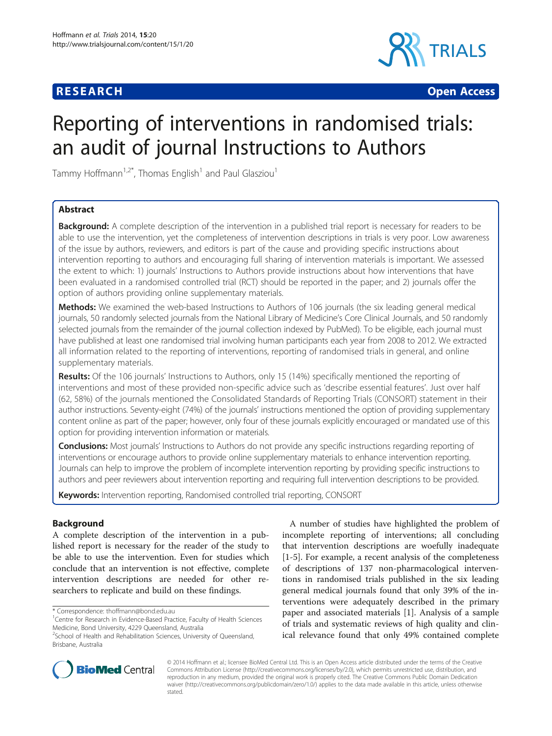# **RESEARCH CHEAR CHEAR CHEAR CHEAR CHEAR CHEAR CHEAR CHEAR CHEAR CHEAR CHEAR CHEAR CHEAR CHEAR CHEAR CHEAR CHEAR**



# Reporting of interventions in randomised trials: an audit of journal Instructions to Authors

Tammy Hoffmann<sup>1,2\*</sup>, Thomas English<sup>1</sup> and Paul Glasziou<sup>1</sup>

## Abstract

**Background:** A complete description of the intervention in a published trial report is necessary for readers to be able to use the intervention, yet the completeness of intervention descriptions in trials is very poor. Low awareness of the issue by authors, reviewers, and editors is part of the cause and providing specific instructions about intervention reporting to authors and encouraging full sharing of intervention materials is important. We assessed the extent to which: 1) journals' Instructions to Authors provide instructions about how interventions that have been evaluated in a randomised controlled trial (RCT) should be reported in the paper; and 2) journals offer the option of authors providing online supplementary materials.

Methods: We examined the web-based Instructions to Authors of 106 journals (the six leading general medical journals, 50 randomly selected journals from the National Library of Medicine's Core Clinical Journals, and 50 randomly selected journals from the remainder of the journal collection indexed by PubMed). To be eligible, each journal must have published at least one randomised trial involving human participants each year from 2008 to 2012. We extracted all information related to the reporting of interventions, reporting of randomised trials in general, and online supplementary materials.

Results: Of the 106 journals' Instructions to Authors, only 15 (14%) specifically mentioned the reporting of interventions and most of these provided non-specific advice such as 'describe essential features'. Just over half (62, 58%) of the journals mentioned the Consolidated Standards of Reporting Trials (CONSORT) statement in their author instructions. Seventy-eight (74%) of the journals' instructions mentioned the option of providing supplementary content online as part of the paper; however, only four of these journals explicitly encouraged or mandated use of this option for providing intervention information or materials.

**Conclusions:** Most journals' Instructions to Authors do not provide any specific instructions regarding reporting of interventions or encourage authors to provide online supplementary materials to enhance intervention reporting. Journals can help to improve the problem of incomplete intervention reporting by providing specific instructions to authors and peer reviewers about intervention reporting and requiring full intervention descriptions to be provided.

Keywords: Intervention reporting, Randomised controlled trial reporting, CONSORT

## Background

A complete description of the intervention in a published report is necessary for the reader of the study to be able to use the intervention. Even for studies which conclude that an intervention is not effective, complete intervention descriptions are needed for other researchers to replicate and build on these findings.

\* Correspondence: [thoffmann@bond.edu.au](mailto:thoffmann@bond.edu.au) <sup>1</sup>

A number of studies have highlighted the problem of incomplete reporting of interventions; all concluding that intervention descriptions are woefully inadequate [[1-5](#page-6-0)]. For example, a recent analysis of the completeness of descriptions of 137 non-pharmacological interventions in randomised trials published in the six leading general medical journals found that only 39% of the interventions were adequately described in the primary paper and associated materials [[1\]](#page-6-0). Analysis of a sample of trials and systematic reviews of high quality and clinical relevance found that only 49% contained complete



© 2014 Hoffmann et al.; licensee BioMed Central Ltd. This is an Open Access article distributed under the terms of the Creative Commons Attribution License [\(http://creativecommons.org/licenses/by/2.0\)](http://creativecommons.org/licenses/by/2.0), which permits unrestricted use, distribution, and reproduction in any medium, provided the original work is properly cited. The Creative Commons Public Domain Dedication waiver [\(http://creativecommons.org/publicdomain/zero/1.0/\)](http://creativecommons.org/publicdomain/zero/1.0/) applies to the data made available in this article, unless otherwise stated.

<sup>&</sup>lt;sup>1</sup> Centre for Research in Evidence-Based Practice, Faculty of Health Sciences Medicine, Bond University, 4229 Queensland, Australia

<sup>&</sup>lt;sup>2</sup>School of Health and Rehabilitation Sciences, University of Queensland, Brisbane, Australia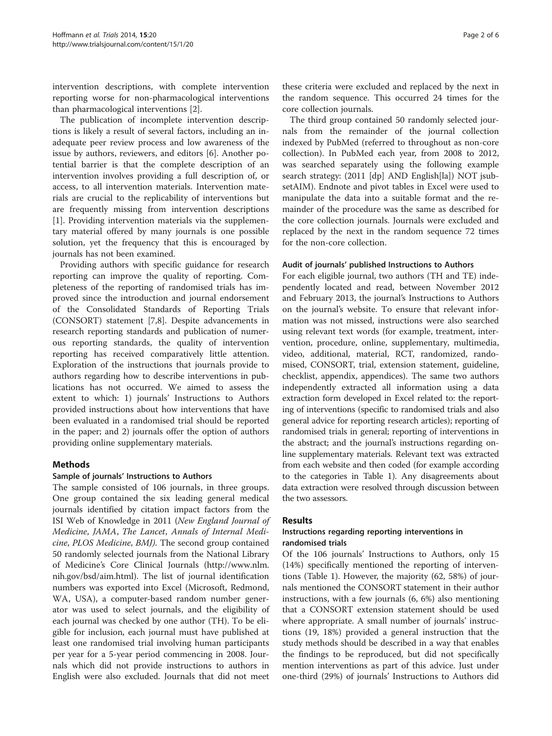<span id="page-2-0"></span>intervention descriptions, with complete intervention reporting worse for non-pharmacological interventions than pharmacological interventions [[2\]](#page-6-0).

The publication of incomplete intervention descriptions is likely a result of several factors, including an inadequate peer review process and low awareness of the issue by authors, reviewers, and editors [[6\]](#page-6-0). Another potential barrier is that the complete description of an intervention involves providing a full description of, or access, to all intervention materials. Intervention materials are crucial to the replicability of interventions but are frequently missing from intervention descriptions [[1\]](#page-6-0). Providing intervention materials via the supplementary material offered by many journals is one possible solution, yet the frequency that this is encouraged by journals has not been examined.

Providing authors with specific guidance for research reporting can improve the quality of reporting. Completeness of the reporting of randomised trials has improved since the introduction and journal endorsement of the Consolidated Standards of Reporting Trials (CONSORT) statement [[7,8\]](#page-6-0). Despite advancements in research reporting standards and publication of numerous reporting standards, the quality of intervention reporting has received comparatively little attention. Exploration of the instructions that journals provide to authors regarding how to describe interventions in publications has not occurred. We aimed to assess the extent to which: 1) journals' Instructions to Authors provided instructions about how interventions that have been evaluated in a randomised trial should be reported in the paper; and 2) journals offer the option of authors providing online supplementary materials.

## Methods

## Sample of journals' Instructions to Authors

The sample consisted of 106 journals, in three groups. One group contained the six leading general medical journals identified by citation impact factors from the ISI Web of Knowledge in 2011 (New England Journal of Medicine, JAMA, The Lancet, Annals of Internal Medicine, PLOS Medicine, BMJ). The second group contained 50 randomly selected journals from the National Library of Medicine's Core Clinical Journals [\(http://www.nlm.](http://www.nlm.nih.gov/bsd/aim.html) [nih.gov/bsd/aim.html](http://www.nlm.nih.gov/bsd/aim.html)). The list of journal identification numbers was exported into Excel (Microsoft, Redmond, WA, USA), a computer-based random number generator was used to select journals, and the eligibility of each journal was checked by one author (TH). To be eligible for inclusion, each journal must have published at least one randomised trial involving human participants per year for a 5-year period commencing in 2008. Journals which did not provide instructions to authors in English were also excluded. Journals that did not meet

these criteria were excluded and replaced by the next in the random sequence. This occurred 24 times for the core collection journals.

The third group contained 50 randomly selected journals from the remainder of the journal collection indexed by PubMed (referred to throughout as non-core collection). In PubMed each year, from 2008 to 2012, was searched separately using the following example search strategy: (2011 [dp] AND English[la]) NOT jsubsetAIM). Endnote and pivot tables in Excel were used to manipulate the data into a suitable format and the remainder of the procedure was the same as described for the core collection journals. Journals were excluded and replaced by the next in the random sequence 72 times for the non-core collection.

### Audit of journals' published Instructions to Authors

For each eligible journal, two authors (TH and TE) independently located and read, between November 2012 and February 2013, the journal's Instructions to Authors on the journal's website. To ensure that relevant information was not missed, instructions were also searched using relevant text words (for example, treatment, intervention, procedure, online, supplementary, multimedia, video, additional, material, RCT, randomized, randomised, CONSORT, trial, extension statement, guideline, checklist, appendix, appendices). The same two authors independently extracted all information using a data extraction form developed in Excel related to: the reporting of interventions (specific to randomised trials and also general advice for reporting research articles); reporting of randomised trials in general; reporting of interventions in the abstract; and the journal's instructions regarding online supplementary materials. Relevant text was extracted from each website and then coded (for example according to the categories in Table [1](#page-3-0)). Any disagreements about data extraction were resolved through discussion between the two assessors.

## Results

## Instructions regarding reporting interventions in randomised trials

Of the 106 journals' Instructions to Authors, only 15 (14%) specifically mentioned the reporting of interventions (Table [1\)](#page-3-0). However, the majority (62, 58%) of journals mentioned the CONSORT statement in their author instructions, with a few journals (6, 6%) also mentioning that a CONSORT extension statement should be used where appropriate. A small number of journals' instructions (19, 18%) provided a general instruction that the study methods should be described in a way that enables the findings to be reproduced, but did not specifically mention interventions as part of this advice. Just under one-third (29%) of journals' Instructions to Authors did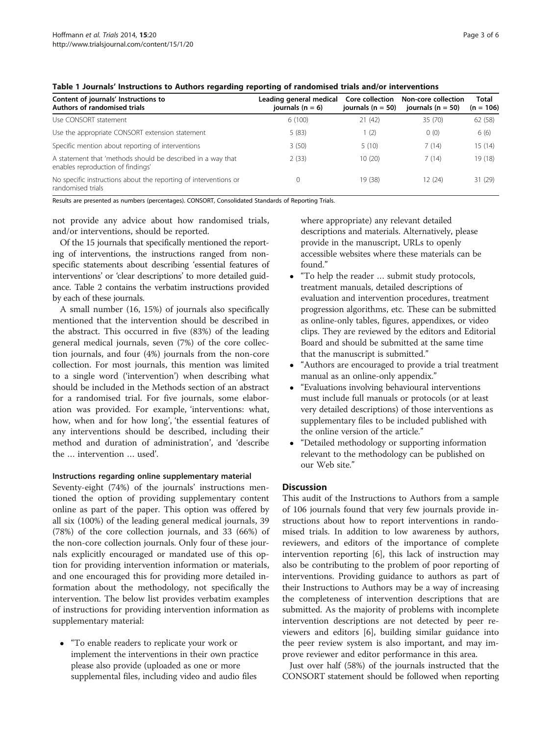| Page 3 o |  |
|----------|--|
|          |  |

<span id="page-3-0"></span>

| Content of journals' Instructions to<br>Authors of randomised trials                             | Leading general medical<br>journals $(n = 6)$ | Core collection<br>journals ( $n = 50$ ) | Non-core collection<br>journals ( $n = 50$ ) | Total<br>$(n = 106)$ |  |
|--------------------------------------------------------------------------------------------------|-----------------------------------------------|------------------------------------------|----------------------------------------------|----------------------|--|
| Use CONSORT statement                                                                            | 6(100)                                        | 21(42)                                   | 35 (70)                                      | 62(58)               |  |
| Use the appropriate CONSORT extension statement                                                  | 5(83)                                         | 1(2)                                     | 0(0)                                         | 6(6)                 |  |
| Specific mention about reporting of interventions                                                | 3(50)                                         | 5(10)                                    | 7(14)                                        | 15(14)               |  |
| A statement that 'methods should be described in a way that<br>enables reproduction of findings' | 2(33)                                         | 10(20)                                   | 7(14)                                        | 19 (18)              |  |
| No specific instructions about the reporting of interventions or<br>randomised trials            |                                               | 19 (38)                                  | 12(24)                                       | 31(29)               |  |

Results are presented as numbers (percentages). CONSORT, Consolidated Standards of Reporting Trials.

not provide any advice about how randomised trials, and/or interventions, should be reported.

Of the 15 journals that specifically mentioned the reporting of interventions, the instructions ranged from nonspecific statements about describing 'essential features of interventions' or 'clear descriptions' to more detailed guidance. Table [2](#page-4-0) contains the verbatim instructions provided by each of these journals.

A small number (16, 15%) of journals also specifically mentioned that the intervention should be described in the abstract. This occurred in five (83%) of the leading general medical journals, seven (7%) of the core collection journals, and four (4%) journals from the non-core collection. For most journals, this mention was limited to a single word ('intervention') when describing what should be included in the [Methods](#page-2-0) section of an abstract for a randomised trial. For five journals, some elaboration was provided. For example, 'interventions: what, how, when and for how long', 'the essential features of any interventions should be described, including their method and duration of administration', and 'describe the … intervention … used'.

#### Instructions regarding online supplementary material

Seventy-eight (74%) of the journals' instructions mentioned the option of providing supplementary content online as part of the paper. This option was offered by all six (100%) of the leading general medical journals, 39 (78%) of the core collection journals, and 33 (66%) of the non-core collection journals. Only four of these journals explicitly encouraged or mandated use of this option for providing intervention information or materials, and one encouraged this for providing more detailed information about the methodology, not specifically the intervention. The below list provides verbatim examples of instructions for providing intervention information as supplementary material:

 "To enable readers to replicate your work or implement the interventions in their own practice please also provide (uploaded as one or more supplemental files, including video and audio files

where appropriate) any relevant detailed descriptions and materials. Alternatively, please provide in the manuscript, URLs to openly accessible websites where these materials can be found."

- "To help the reader … submit study protocols, treatment manuals, detailed descriptions of evaluation and intervention procedures, treatment progression algorithms, etc. These can be submitted as online-only tables, figures, appendixes, or video clips. They are reviewed by the editors and Editorial Board and should be submitted at the same time that the manuscript is submitted."
- "Authors are encouraged to provide a trial treatment manual as an online-only appendix."
- "Evaluations involving behavioural interventions must include full manuals or protocols (or at least very detailed descriptions) of those interventions as supplementary files to be included published with the online version of the article."
- "Detailed methodology or supporting information relevant to the methodology can be published on our Web site."

## **Discussion**

This audit of the Instructions to Authors from a sample of 106 journals found that very few journals provide instructions about how to report interventions in randomised trials. In addition to low awareness by authors, reviewers, and editors of the importance of complete intervention reporting [[6\]](#page-6-0), this lack of instruction may also be contributing to the problem of poor reporting of interventions. Providing guidance to authors as part of their Instructions to Authors may be a way of increasing the completeness of intervention descriptions that are submitted. As the majority of problems with incomplete intervention descriptions are not detected by peer reviewers and editors [\[6](#page-6-0)], building similar guidance into the peer review system is also important, and may improve reviewer and editor performance in this area.

Just over half (58%) of the journals instructed that the CONSORT statement should be followed when reporting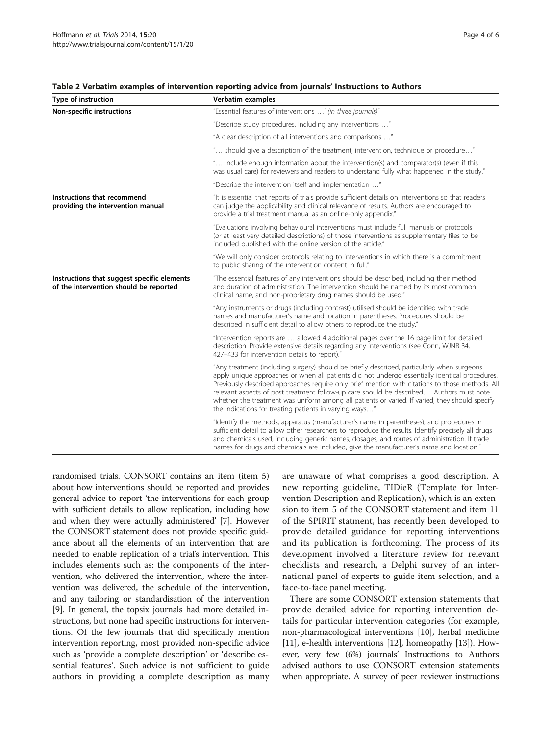| Type of instruction                                                                   | Verbatim examples                                                                                                                                                                                                                                                                                                                                                                                                                                                                                                                                      |
|---------------------------------------------------------------------------------------|--------------------------------------------------------------------------------------------------------------------------------------------------------------------------------------------------------------------------------------------------------------------------------------------------------------------------------------------------------------------------------------------------------------------------------------------------------------------------------------------------------------------------------------------------------|
| Non-specific instructions                                                             | "Essential features of interventions ' (in three journals)"                                                                                                                                                                                                                                                                                                                                                                                                                                                                                            |
|                                                                                       | "Describe study procedures, including any interventions "                                                                                                                                                                                                                                                                                                                                                                                                                                                                                              |
|                                                                                       | "A clear description of all interventions and comparisons "                                                                                                                                                                                                                                                                                                                                                                                                                                                                                            |
|                                                                                       | " should give a description of the treatment, intervention, technique or procedure"                                                                                                                                                                                                                                                                                                                                                                                                                                                                    |
|                                                                                       | " include enough information about the intervention(s) and comparator(s) (even if this<br>was usual care) for reviewers and readers to understand fully what happened in the study."                                                                                                                                                                                                                                                                                                                                                                   |
|                                                                                       | "Describe the intervention itself and implementation "                                                                                                                                                                                                                                                                                                                                                                                                                                                                                                 |
| Instructions that recommend<br>providing the intervention manual                      | "It is essential that reports of trials provide sufficient details on interventions so that readers<br>can judge the applicability and clinical relevance of results. Authors are encouraged to<br>provide a trial treatment manual as an online-only appendix."                                                                                                                                                                                                                                                                                       |
|                                                                                       | "Evaluations involving behavioural interventions must include full manuals or protocols<br>(or at least very detailed descriptions) of those interventions as supplementary files to be<br>included published with the online version of the article."                                                                                                                                                                                                                                                                                                 |
|                                                                                       | "We will only consider protocols relating to interventions in which there is a commitment<br>to public sharing of the intervention content in full."                                                                                                                                                                                                                                                                                                                                                                                                   |
| Instructions that suggest specific elements<br>of the intervention should be reported | "The essential features of any interventions should be described, including their method<br>and duration of administration. The intervention should be named by its most common<br>clinical name, and non-proprietary drug names should be used."                                                                                                                                                                                                                                                                                                      |
|                                                                                       | "Any instruments or drugs (including contrast) utilised should be identified with trade<br>names and manufacturer's name and location in parentheses. Procedures should be<br>described in sufficient detail to allow others to reproduce the study."                                                                                                                                                                                                                                                                                                  |
|                                                                                       | "Intervention reports are  allowed 4 additional pages over the 16 page limit for detailed<br>description. Provide extensive details regarding any interventions (see Conn, WJNR 34,<br>427-433 for intervention details to report)."                                                                                                                                                                                                                                                                                                                   |
|                                                                                       | "Any treatment (including surgery) should be briefly described, particularly when surgeons<br>apply unique approaches or when all patients did not undergo essentially identical procedures.<br>Previously described approaches require only brief mention with citations to those methods. All<br>relevant aspects of post treatment follow-up care should be described Authors must note<br>whether the treatment was uniform among all patients or varied. If varied, they should specify<br>the indications for treating patients in varying ways" |
|                                                                                       | "Identify the methods, apparatus (manufacturer's name in parentheses), and procedures in<br>sufficient detail to allow other researchers to reproduce the results. Identify precisely all drugs<br>and chemicals used, including generic names, dosages, and routes of administration. If trade<br>names for drugs and chemicals are included, give the manufacturer's name and location."                                                                                                                                                             |

#### <span id="page-4-0"></span>Table 2 Verbatim examples of intervention reporting advice from journals' Instructions to Authors

randomised trials. CONSORT contains an item (item 5) about how interventions should be reported and provides general advice to report 'the interventions for each group with sufficient details to allow replication, including how and when they were actually administered' [\[7](#page-6-0)]. However the CONSORT statement does not provide specific guidance about all the elements of an intervention that are needed to enable replication of a trial's intervention. This includes elements such as: the components of the intervention, who delivered the intervention, where the intervention was delivered, the schedule of the intervention, and any tailoring or standardisation of the intervention [[9\]](#page-6-0). In general, the topsix journals had more detailed instructions, but none had specific instructions for interventions. Of the few journals that did specifically mention intervention reporting, most provided non-specific advice such as 'provide a complete description' or 'describe essential features'. Such advice is not sufficient to guide authors in providing a complete description as many are unaware of what comprises a good description. A new reporting guideline, TIDieR (Template for Intervention Description and Replication), which is an extension to item 5 of the CONSORT statement and item 11 of the SPIRIT statment, has recently been developed to provide detailed guidance for reporting interventions and its publication is forthcoming. The process of its development involved a literature review for relevant checklists and research, a Delphi survey of an international panel of experts to guide item selection, and a face-to-face panel meeting.

There are some CONSORT extension statements that provide detailed advice for reporting intervention details for particular intervention categories (for example, non-pharmacological interventions [[10](#page-6-0)], herbal medicine [[11](#page-6-0)], e-health interventions [[12](#page-6-0)], homeopathy [[13](#page-6-0)]). However, very few (6%) journals' Instructions to Authors advised authors to use CONSORT extension statements when appropriate. A survey of peer reviewer instructions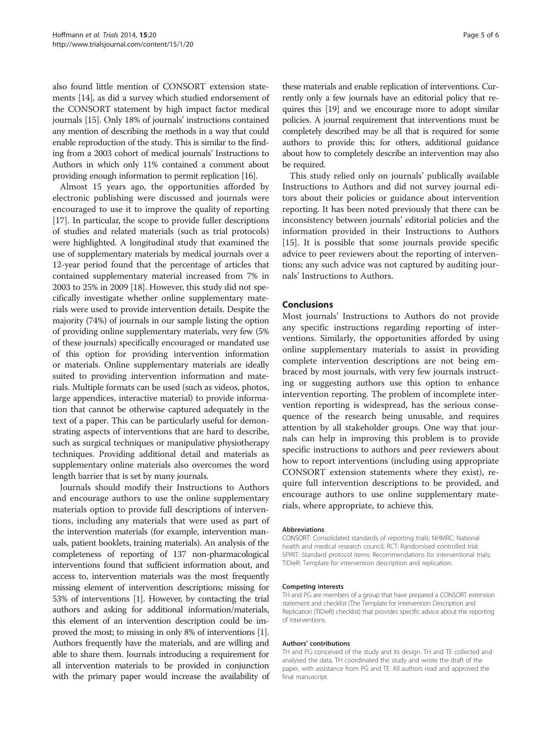also found little mention of CONSORT extension statements [\[14](#page-6-0)], as did a survey which studied endorsement of the CONSORT statement by high impact factor medical journals [[15](#page-6-0)]. Only 18% of journals' instructions contained any mention of describing the methods in a way that could enable reproduction of the study. This is similar to the finding from a 2003 cohort of medical journals' Instructions to Authors in which only 11% contained a comment about providing enough information to permit replication [[16](#page-6-0)].

Almost 15 years ago, the opportunities afforded by electronic publishing were discussed and journals were encouraged to use it to improve the quality of reporting [[17\]](#page-6-0). In particular, the scope to provide fuller descriptions of studies and related materials (such as trial protocols) were highlighted. A longitudinal study that examined the use of supplementary materials by medical journals over a 12-year period found that the percentage of articles that contained supplementary material increased from 7% in 2003 to 25% in 2009 [[18](#page-6-0)]. However, this study did not specifically investigate whether online supplementary materials were used to provide intervention details. Despite the majority (74%) of journals in our sample listing the option of providing online supplementary materials, very few (5% of these journals) specifically encouraged or mandated use of this option for providing intervention information or materials. Online supplementary materials are ideally suited to providing intervention information and materials. Multiple formats can be used (such as videos, photos, large appendices, interactive material) to provide information that cannot be otherwise captured adequately in the text of a paper. This can be particularly useful for demonstrating aspects of interventions that are hard to describe, such as surgical techniques or manipulative physiotherapy techniques. Providing additional detail and materials as supplementary online materials also overcomes the word length barrier that is set by many journals.

Journals should modify their Instructions to Authors and encourage authors to use the online supplementary materials option to provide full descriptions of interventions, including any materials that were used as part of the intervention materials (for example, intervention manuals, patient booklets, training materials). An analysis of the completeness of reporting of 137 non-pharmacological interventions found that sufficient information about, and access to, intervention materials was the most frequently missing element of intervention descriptions; missing for 53% of interventions [[1](#page-6-0)]. However, by contacting the trial authors and asking for additional information/materials, this element of an intervention description could be improved the most; to missing in only 8% of interventions [[1](#page-6-0)]. Authors frequently have the materials, and are willing and able to share them. Journals introducing a requirement for all intervention materials to be provided in conjunction with the primary paper would increase the availability of these materials and enable replication of interventions. Currently only a few journals have an editorial policy that requires this [\[19](#page-6-0)] and we encourage more to adopt similar policies. A journal requirement that interventions must be completely described may be all that is required for some authors to provide this; for others, additional guidance about how to completely describe an intervention may also be required.

This study relied only on journals' publically available Instructions to Authors and did not survey journal editors about their policies or guidance about intervention reporting. It has been noted previously that there can be inconsistency between journals' editorial policies and the information provided in their Instructions to Authors [[15\]](#page-6-0). It is possible that some journals provide specific advice to peer reviewers about the reporting of interventions; any such advice was not captured by auditing journals' Instructions to Authors.

### Conclusions

Most journals' Instructions to Authors do not provide any specific instructions regarding reporting of interventions. Similarly, the opportunities afforded by using online supplementary materials to assist in providing complete intervention descriptions are not being embraced by most journals, with very few journals instructing or suggesting authors use this option to enhance intervention reporting. The problem of incomplete intervention reporting is widespread, has the serious consequence of the research being unusable, and requires attention by all stakeholder groups. One way that journals can help in improving this problem is to provide specific instructions to authors and peer reviewers about how to report interventions (including using appropriate CONSORT extension statements where they exist), require full intervention descriptions to be provided, and encourage authors to use online supplementary materials, where appropriate, to achieve this.

#### Abbreviations

CONSORT: Consolidated standards of reporting trials; NHMRC: National health and medical research council; RCT: Randomised controlled trial; SPIRIT: Standard protocol items: Recommendations for interventional trials; TIDieR: Template for intervention description and replication.

#### Competing interests

TH and PG are members of a group that have prepared a CONSORT extension statement and checklist (The Template for Intervention Description and Replication (TIDieR) checklist) that provides specific advice about the reporting of interventions.

#### Authors' contributions

TH and PG conceived of the study and its design. TH and TE collected and analysed the data. TH coordinated the study and wrote the draft of the paper, with assistance from PG and TE. All authors read and approved the final manuscript.